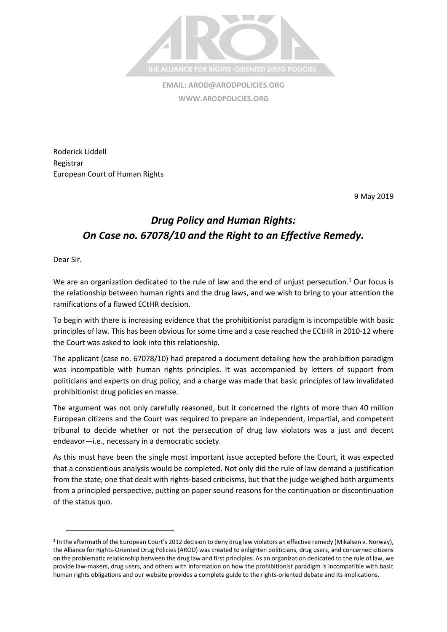

**EMAIL: [AROD@ARODPOLICIES.ORG](mailto:AROD@ARODPOLICIES.ORG) WWW.ARODPOLICIES.ORG**

Roderick Liddell Registrar European Court of Human Rights

9 May 2019

# *Drug Policy and Human Rights: On Case no. 67078/10 and the Right to an Effective Remedy.*

Dear Sir.

l

We are an organization dedicated to the rule of law and the end of unjust persecution.<sup>1</sup> Our focus is the relationship between human rights and the drug laws, and we wish to bring to your attention the ramifications of a flawed ECtHR decision.

To begin with there is increasing evidence that the prohibitionist paradigm is incompatible with basic principles of law. This has been obvious for some time and a case reached the ECtHR in 2010-12 where the Court was asked to look into this relationship.

The applicant (case no. 67078/10) had prepared a document detailing how the prohibition paradigm was incompatible with human rights principles. It was accompanied by letters of support from politicians and experts on drug policy, and a charge was made that basic principles of law invalidated prohibitionist drug policies en masse.

The argument was not only carefully reasoned, but it concerned the rights of more than 40 million European citizens and the Court was required to prepare an independent, impartial, and competent tribunal to decide whether or not the persecution of drug law violators was a just and decent endeavor—i.e., necessary in a democratic society.

As this must have been the single most important issue accepted before the Court, it was expected that a conscientious analysis would be completed. Not only did the rule of law demand a justification from the state, one that dealt with rights-based criticisms, but that the judge weighed both arguments from a principled perspective, putting on paper sound reasons for the continuation or discontinuation of the status quo.

<sup>&</sup>lt;sup>1</sup> In the aftermath of the European Court's 2012 decision to deny drug law violators an effective remedy (Mikalsen v. Norway), the Alliance for Rights-Oriented Drug Policies (AROD) was created to enlighten politicians, drug users, and concerned citizens on the problematic relationship between the drug law and first principles. As an organization dedicated to the rule of law, we provide law-makers, drug users, and others with information on how the prohibitionist paradigm is incompatible with basic human rights obligations and our website provides a complete guide to the rights-oriented debate and its implications.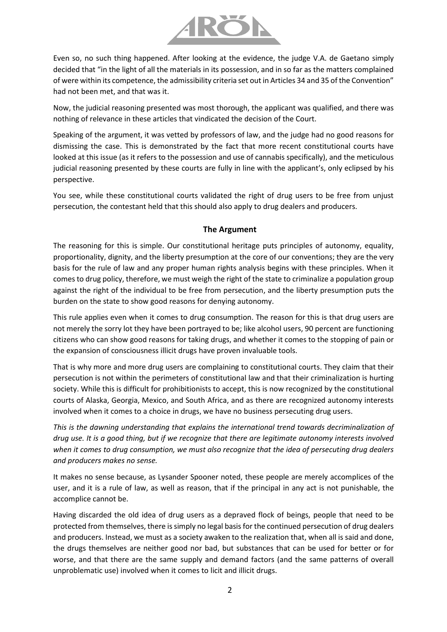

Even so, no such thing happened. After looking at the evidence, the judge V.A. de Gaetano simply decided that "in the light of all the materials in its possession, and in so far as the matters complained of were within its competence, the admissibility criteria set out in Articles 34 and 35 of the Convention" had not been met, and that was it.

Now, the judicial reasoning presented was most thorough, the applicant was qualified, and there was nothing of relevance in these articles that vindicated the decision of the Court.

Speaking of the argument, it was vetted by professors of law, and the judge had no good reasons for dismissing the case. This is demonstrated by the fact that more recent constitutional courts have looked at this issue (as it refers to the possession and use of cannabis specifically), and the meticulous judicial reasoning presented by these courts are fully in line with the applicant's, only eclipsed by his perspective.

You see, while these constitutional courts validated the right of drug users to be free from unjust persecution, the contestant held that this should also apply to drug dealers and producers.

#### **The Argument**

The reasoning for this is simple. Our constitutional heritage puts principles of autonomy, equality, proportionality, dignity, and the liberty presumption at the core of our conventions; they are the very basis for the rule of law and any proper human rights analysis begins with these principles. When it comes to drug policy, therefore, we must weigh the right of the state to criminalize a population group against the right of the individual to be free from persecution, and the liberty presumption puts the burden on the state to show good reasons for denying autonomy.

This rule applies even when it comes to drug consumption. The reason for this is that drug users are not merely the sorry lot they have been portrayed to be; like alcohol users, 90 percent are functioning citizens who can show good reasons for taking drugs, and whether it comes to the stopping of pain or the expansion of consciousness illicit drugs have proven invaluable tools.

That is why more and more drug users are complaining to constitutional courts. They claim that their persecution is not within the perimeters of constitutional law and that their criminalization is hurting society. While this is difficult for prohibitionists to accept, this is now recognized by the constitutional courts of Alaska, Georgia, Mexico, and South Africa, and as there are recognized autonomy interests involved when it comes to a choice in drugs, we have no business persecuting drug users.

*This is the dawning understanding that explains the international trend towards decriminalization of drug use. It is a good thing, but if we recognize that there are legitimate autonomy interests involved when it comes to drug consumption, we must also recognize that the idea of persecuting drug dealers and producers makes no sense.* 

It makes no sense because, as Lysander Spooner noted, these people are merely accomplices of the user, and it is a rule of law, as well as reason, that if the principal in any act is not punishable, the accomplice cannot be.

Having discarded the old idea of drug users as a depraved flock of beings, people that need to be protected from themselves, there is simply no legal basis for the continued persecution of drug dealers and producers. Instead, we must as a society awaken to the realization that, when all is said and done, the drugs themselves are neither good nor bad, but substances that can be used for better or for worse, and that there are the same supply and demand factors (and the same patterns of overall unproblematic use) involved when it comes to licit and illicit drugs.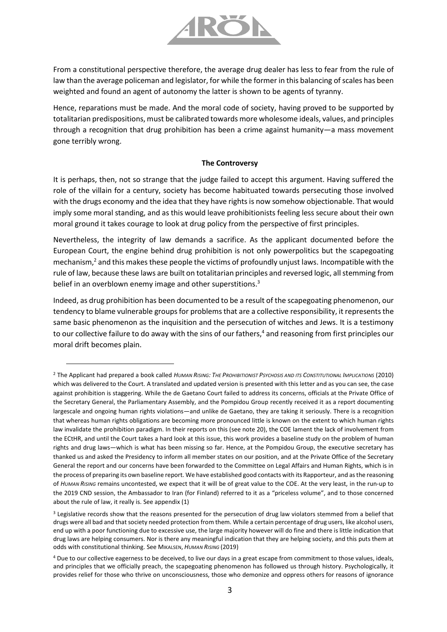

From a constitutional perspective therefore, the average drug dealer has less to fear from the rule of law than the average policeman and legislator, for while the former in this balancing of scales has been weighted and found an agent of autonomy the latter is shown to be agents of tyranny.

Hence, reparations must be made. And the moral code of society, having proved to be supported by totalitarian predispositions, must be calibrated towards more wholesome ideals, values, and principles through a recognition that drug prohibition has been a crime against humanity—a mass movement gone terribly wrong.

#### **The Controversy**

It is perhaps, then, not so strange that the judge failed to accept this argument. Having suffered the role of the villain for a century, society has become habituated towards persecuting those involved with the drugs economy and the idea that they have rights is now somehow objectionable. That would imply some moral standing, and as this would leave prohibitionists feeling less secure about their own moral ground it takes courage to look at drug policy from the perspective of first principles.

Nevertheless, the integrity of law demands a sacrifice. As the applicant documented before the European Court, the engine behind drug prohibition is not only powerpolitics but the scapegoating mechanism, $^2$  and this makes these people the victims of profoundly unjust laws. Incompatible with the rule of law, because these laws are built on totalitarian principles and reversed logic, all stemming from belief in an overblown enemy image and other superstitions.<sup>3</sup>

Indeed, as drug prohibition has been documented to be a result of the scapegoating phenomenon, our tendency to blame vulnerable groups for problems that are a collective responsibility, it represents the same basic phenomenon as the inquisition and the persecution of witches and Jews. It is a testimony to our collective failure to do away with the sins of our fathers,<sup>4</sup> and reasoning from first principles our moral drift becomes plain.

<sup>&</sup>lt;sup>2</sup> The Applicant had prepared a book called HUMAN RISING: THE PROHIBITIONIST PSYCHOSIS AND ITS CONSTITUTIONAL IMPLICATIONS (2010) which was delivered to the Court. A translated and updated version is presented with this letter and as you can see, the case against prohibition is staggering. While the de Gaetano Court failed to address its concerns, officials at the Private Office of the Secretary General, the Parliamentary Assembly, and the Pompidou Group recently received it as a report documenting largescale and ongoing human rights violations—and unlike de Gaetano, they are taking it seriously. There is a recognition that whereas human rights obligations are becoming more pronounced little is known on the extent to which human rights law invalidate the prohibition paradigm. In their reports on this (see note 20), the COE lament the lack of involvement from the ECtHR, and until the Court takes a hard look at this issue, this work provides a baseline study on the problem of human rights and drug laws—which is what has been missing so far. Hence, at the Pompidou Group, the executive secretary has thanked us and asked the Presidency to inform all member states on our position, and at the Private Office of the Secretary General the report and our concerns have been forwarded to the Committee on Legal Affairs and Human Rights, which is in the process of preparing its own baseline report. We have established good contacts with its Rapporteur, and as the reasoning of *HUMAN RISING* remains uncontested, we expect that it will be of great value to the COE. At the very least, in the run-up to the 2019 CND session, the Ambassador to Iran (for Finland) referred to it as a "priceless volume", and to those concerned about the rule of law, it really is. See appendix (1)

<sup>&</sup>lt;sup>3</sup> Legislative records show that the reasons presented for the persecution of drug law violators stemmed from a belief that drugs were all bad and that society needed protection from them. While a certain percentage of drug users, like alcohol users, end up with a poor functioning due to excessive use, the large majority however will do fine and there is little indication that drug laws are helping consumers. Nor is there any meaningful indication that they are helping society, and this puts them at odds with constitutional thinking. See MIKALSEN, *HUMAN RISING* (2019)

<sup>4</sup> Due to our collective eagerness to be deceived, to live our days in a great escape from commitment to those values, ideals, and principles that we officially preach, the scapegoating phenomenon has followed us through history. Psychologically, it provides relief for those who thrive on unconsciousness, those who demonize and oppress others for reasons of ignorance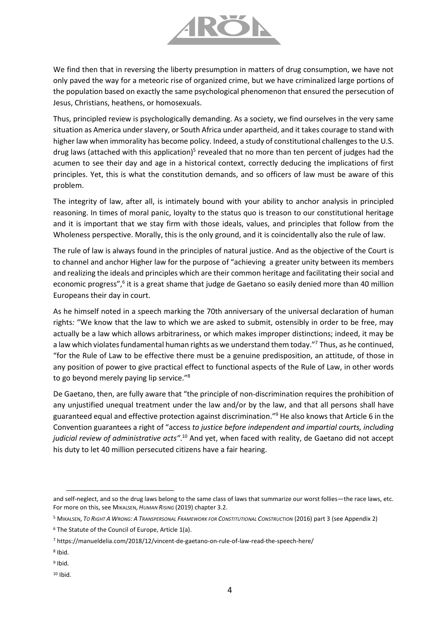

We find then that in reversing the liberty presumption in matters of drug consumption, we have not only paved the way for a meteoric rise of organized crime, but we have criminalized large portions of the population based on exactly the same psychological phenomenon that ensured the persecution of Jesus, Christians, heathens, or homosexuals.

Thus, principled review is psychologically demanding. As a society, we find ourselves in the very same situation as America under slavery, or South Africa under apartheid, and it takes courage to stand with higher law when immorality has become policy. Indeed, a study of constitutional challenges to the U.S. drug laws (attached with this application)<sup>5</sup> revealed that no more than ten percent of judges had the acumen to see their day and age in a historical context, correctly deducing the implications of first principles. Yet, this is what the constitution demands, and so officers of law must be aware of this problem.

The integrity of law, after all, is intimately bound with your ability to anchor analysis in principled reasoning. In times of moral panic, loyalty to the status quo is treason to our constitutional heritage and it is important that we stay firm with those ideals, values, and principles that follow from the Wholeness perspective. Morally, this is the only ground, and it is coincidentally also the rule of law.

The rule of law is always found in the principles of natural justice. And as the objective of the Court is to channel and anchor Higher law for the purpose of "achieving a greater unity between its members and realizing the ideals and principles which are their common heritage and facilitating their social and economic progress",<sup>6</sup> it is a great shame that judge de Gaetano so easily denied more than 40 million Europeans their day in court.

As he himself noted in a speech marking the 70th anniversary of the universal declaration of human rights*:* "We know that the law to which we are asked to submit, ostensibly in order to be free, may actually be a law which allows arbitrariness, or which makes improper distinctions; indeed, it may be a law which violates fundamental human rights as we understand them today."<sup>7</sup> Thus, as he continued, "for the Rule of Law to be effective there must be a genuine predisposition, an attitude, of those in any position of power to give practical effect to functional aspects of the Rule of Law, in other words to go beyond merely paying lip service."<sup>8</sup>

De Gaetano, then, are fully aware that "the principle of non-discrimination requires the prohibition of any unjustified unequal treatment under the law and/or by the law, and that all persons shall have guaranteed equal and effective protection against discrimination." <sup>9</sup> He also knows that Article 6 in the Convention guarantees a right of "access *to justice before independent and impartial courts, including judicial review of administrative acts"*. <sup>10</sup> And yet, when faced with reality, de Gaetano did not accept his duty to let 40 million persecuted citizens have a fair hearing.

and self-neglect, and so the drug laws belong to the same class of laws that summarize our worst follies—the race laws, etc. For more on this, see MIKALSEN, *HUMAN RISING* (2019) chapter 3.2.

<sup>&</sup>lt;sup>5</sup> MIKALSEN, TO RIGHT A WRONG: A TRANSPERSONAL FRAMEWORK FOR CONSTITUTIONAL CONSTRUCTION (2016) part 3 (see Appendix 2)

<sup>6</sup> The Statute of the Council of Europe, Article 1(a).

<sup>7</sup> https://manueldelia.com/2018/12/vincent-de-gaetano-on-rule-of-law-read-the-speech-here/

<sup>8</sup> Ibid.

<sup>&</sup>lt;sup>9</sup> Ibid.

 $10$  Ibid.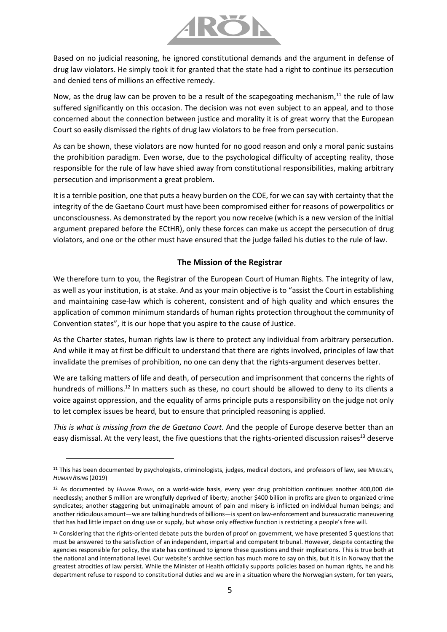

Based on no judicial reasoning, he ignored constitutional demands and the argument in defense of drug law violators. He simply took it for granted that the state had a right to continue its persecution and denied tens of millions an effective remedy.

Now, as the drug law can be proven to be a result of the scapegoating mechanism, $<sup>11</sup>$  the rule of law</sup> suffered significantly on this occasion. The decision was not even subject to an appeal, and to those concerned about the connection between justice and morality it is of great worry that the European Court so easily dismissed the rights of drug law violators to be free from persecution.

As can be shown, these violators are now hunted for no good reason and only a moral panic sustains the prohibition paradigm. Even worse, due to the psychological difficulty of accepting reality, those responsible for the rule of law have shied away from constitutional responsibilities, making arbitrary persecution and imprisonment a great problem.

It is a terrible position, one that puts a heavy burden on the COE, for we can say with certainty that the integrity of the de Gaetano Court must have been compromised either for reasons of powerpolitics or unconsciousness. As demonstrated by the report you now receive (which is a new version of the initial argument prepared before the ECtHR), only these forces can make us accept the persecution of drug violators, and one or the other must have ensured that the judge failed his duties to the rule of law.

### **The Mission of the Registrar**

We therefore turn to you, the Registrar of the European Court of Human Rights. The integrity of law, as well as your institution, is at stake. And as your main objective is to "assist the Court in establishing and maintaining case-law which is coherent, consistent and of high quality and which ensures the application of common minimum standards of human rights protection throughout the community of Convention states", it is our hope that you aspire to the cause of Justice.

As the Charter states, human rights law is there to protect any individual from arbitrary persecution. And while it may at first be difficult to understand that there are rights involved, principles of law that invalidate the premises of prohibition, no one can deny that the rights-argument deserves better.

We are talking matters of life and death, of persecution and imprisonment that concerns the rights of hundreds of millions.<sup>12</sup> In matters such as these, no court should be allowed to deny to its clients a voice against oppression, and the equality of arms principle puts a responsibility on the judge not only to let complex issues be heard, but to ensure that principled reasoning is applied.

*This is what is missing from the de Gaetano Court*. And the people of Europe deserve better than an easy dismissal. At the very least, the five questions that the rights-oriented discussion raises<sup>13</sup> deserve

<sup>&</sup>lt;sup>11</sup> This has been documented by psychologists, criminologists, judges, medical doctors, and professors of law, see MIKALSEN, *HUMAN RISING* (2019)

<sup>12</sup> As documented by *HUMAN RISING*, on a world-wide basis, every year drug prohibition continues another 400,000 die needlessly; another 5 million are wrongfully deprived of liberty; another \$400 billion in profits are given to organized crime syndicates; another staggering but unimaginable amount of pain and misery is inflicted on individual human beings; and another ridiculous amount—we are talking hundreds of billions—is spent on law-enforcement and bureaucratic maneuvering that has had little impact on drug use or supply, but whose only effective function is restricting a people's free will.

<sup>&</sup>lt;sup>13</sup> Considering that the rights-oriented debate puts the burden of proof on government, we have presented 5 questions that must be answered to the satisfaction of an independent, impartial and competent tribunal. However, despite contacting the agencies responsible for policy, the state has continued to ignore these questions and their implications. This is true both at the national and international level. Our website's archive section has much more to say on this, but it is in Norway that the greatest atrocities of law persist. While the Minister of Health officially supports policies based on human rights, he and his department refuse to respond to constitutional duties and we are in a situation where the Norwegian system, for ten years,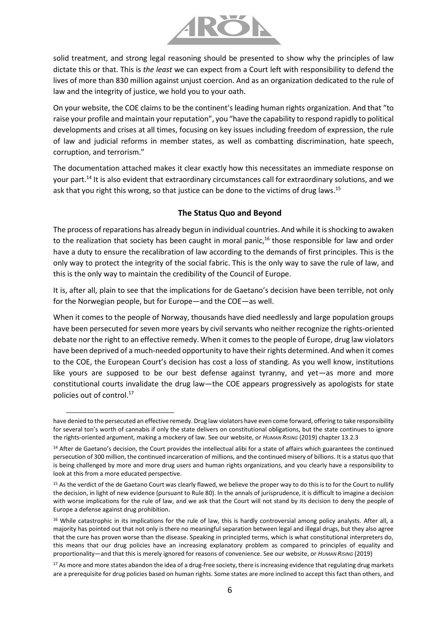

solid treatment, and strong legal reasoning should be presented to show why the principles of law dictate this or that. This is *the least* we can expect from a Court left with responsibility to defend the lives of more than 830 million against unjust coercion. And as an organization dedicated to the rule of law and the integrity of justice, we hold you to your oath.

On your website, the COE claims to be the continent's leading human rights organization. And that "to raise your profile and maintain your reputation", you "have the capability to respond rapidly to political developments and crises at all times, focusing on key issues including freedom of expression, the rule of law and judicial reforms in member states, as well as combatting discrimination, hate speech, corruption, and terrorism."

The documentation attached makes it clear exactly how this necessitates an immediate response on your part.<sup>14</sup> It is also evident that extraordinary circumstances call for extraordinary solutions, and we ask that you right this wrong, so that justice can be done to the victims of drug laws.<sup>15</sup>

### **The Status Quo and Beyond**

The process ofreparations has already begun in individual countries. And while it is shocking to awaken to the realization that society has been caught in moral panic,<sup>16</sup> those responsible for law and order have a duty to ensure the recalibration of law according to the demands of first principles. This is the only way to protect the integrity of the social fabric. This is the only way to save the rule of law, and this is the only way to maintain the credibility of the Council of Europe.

It is, after all, plain to see that the implications for de Gaetano's decision have been terrible, not only for the Norwegian people, but for Europe—and the COE—as well.

When it comes to the people of Norway, thousands have died needlessly and large population groups have been persecuted for seven more years by civil servants who neither recognize the rights-oriented debate nor the right to an effective remedy. When it comes to the people of Europe, drug law violators have been deprived of a much-needed opportunity to have their rights determined. And when it comes to the COE, the European Court's decision has cost a loss of standing. As you well know, institutions like yours are supposed to be our best defense against tyranny, and yet—as more and more constitutional courts invalidate the drug law—the COE appears progressively as apologists for state policies out of control.<sup>17</sup>

l

have denied to the persecuted an effective remedy. Drug law violators have even come forward, offering to take responsibility for several ton's worth of cannabis if only the state delivers on constitutional obligations, but the state continues to ignore the rights-oriented argument, making a mockery of law. See our website, or *HUMAN RISING* (2019) chapter 13.2.3

<sup>&</sup>lt;sup>14</sup> After de Gaetano's decision, the Court provides the intellectual alibi for a state of affairs which guarantees the continued persecution of 300 million, the continued incarceration of millions, and the continued misery of billions. It is a status quo that is being challenged by more and more drug users and human rights organizations, and you clearly have a responsibility to look at this from a more educated perspective.

<sup>15</sup> As the verdict of the de Gaetano Court was clearly flawed, we believe the proper way to do this is to for the Court to nullify the decision, in light of new evidence (pursuant to Rule 80). In the annals of jurisprudence, it is difficult to imagine a decision with worse implications for the rule of law, and we ask that the Court will not stand by its decision to deny the people of Europe a defense against drug prohibition.

<sup>&</sup>lt;sup>16</sup> While catastrophic in its implications for the rule of law, this is hardly controversial among policy analysts. After all, a majority has pointed out that not only is there no meaningful separation between legal and illegal drugs, but they also agree that the cure has proven worse than the disease. Speaking in principled terms, which is what constitutional interpreters do, this means that our drug policies have an increasing explanatory problem as compared to principles of equality and proportionality—and that this is merely ignored for reasons of convenience. See our website, or *HUMAN RISING* (2019)

<sup>&</sup>lt;sup>17</sup> As more and more states abandon the idea of a drug-free society, there is increasing evidence that regulating drug markets are a prerequisite for drug policies based on human rights. Some states are more inclined to accept this fact than others, and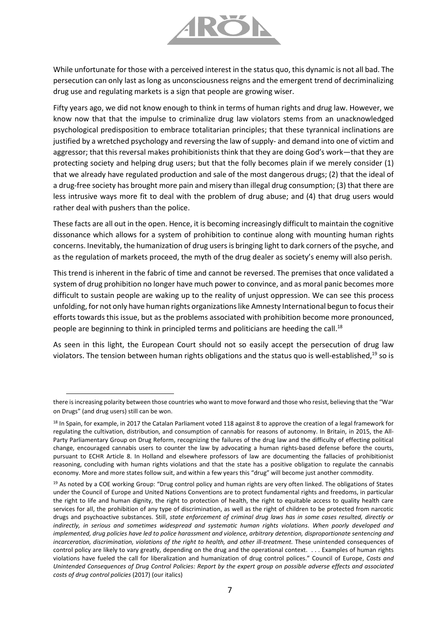

While unfortunate for those with a perceived interest in the status quo, this dynamic is not all bad. The persecution can only last as long as unconsciousness reigns and the emergent trend of decriminalizing drug use and regulating markets is a sign that people are growing wiser.

Fifty years ago, we did not know enough to think in terms of human rights and drug law. However, we know now that that the impulse to criminalize drug law violators stems from an unacknowledged psychological predisposition to embrace totalitarian principles; that these tyrannical inclinations are justified by a wretched psychology and reversing the law of supply- and demand into one of victim and aggressor; that this reversal makes prohibitionists think that they are doing God's work—that they are protecting society and helping drug users; but that the folly becomes plain if we merely consider (1) that we already have regulated production and sale of the most dangerous drugs; (2) that the ideal of a drug-free society has brought more pain and misery than illegal drug consumption; (3) that there are less intrusive ways more fit to deal with the problem of drug abuse; and (4) that drug users would rather deal with pushers than the police.

These facts are all out in the open. Hence, it is becoming increasingly difficult to maintain the cognitive dissonance which allows for a system of prohibition to continue along with mounting human rights concerns. Inevitably, the humanization of drug users is bringing light to dark corners of the psyche, and as the regulation of markets proceed, the myth of the drug dealer as society's enemy will also perish.

This trend is inherent in the fabric of time and cannot be reversed. The premises that once validated a system of drug prohibition no longer have much power to convince, and as moral panic becomes more difficult to sustain people are waking up to the reality of unjust oppression. We can see this process unfolding, for not only have human rights organizations like Amnesty International begun to focus their efforts towards this issue, but as the problems associated with prohibition become more pronounced, people are beginning to think in principled terms and politicians are heeding the call.<sup>18</sup>

As seen in this light, the European Court should not so easily accept the persecution of drug law violators. The tension between human rights obligations and the status quo is well-established, <sup>19</sup> so is

there is increasing polarity between those countries who want to move forward and those who resist, believing that the "War on Drugs" (and drug users) still can be won.

<sup>&</sup>lt;sup>18</sup> In Spain, for example, in 2017 the Catalan Parliament voted 118 against 8 to approve the creation of a legal framework for regulating the cultivation, distribution, and consumption of cannabis for reasons of autonomy. In Britain, in 2015, the All-Party Parliamentary Group on Drug Reform, recognizing the failures of the drug law and the difficulty of effecting political change, encouraged cannabis users to counter the law by advocating a human rights-based defense before the courts, pursuant to ECHR Article 8. In Holland and elsewhere professors of law are documenting the fallacies of prohibitionist reasoning, concluding with human rights violations and that the state has a positive obligation to regulate the cannabis economy. More and more states follow suit, and within a few years this "drug" will become just another commodity.

<sup>19</sup> As noted by a COE working Group: "Drug control policy and human rights are very often linked. The obligations of States under the Council of Europe and United Nations Conventions are to protect fundamental rights and freedoms, in particular the right to life and human dignity, the right to protection of health, the right to equitable access to quality health care services for all, the prohibition of any type of discrimination, as well as the right of children to be protected from narcotic drugs and psychoactive substances. Still, *state enforcement of criminal drug laws has in some cases resulted, directly or indirectly, in serious and sometimes widespread and systematic human rights violations*. *When poorly developed and implemented, drug policies have led to police harassment and violence, arbitrary detention, disproportionate sentencing and incarceration, discrimination, violations of the right to health, and other ill-treatment.* These unintended consequences of control policy are likely to vary greatly, depending on the drug and the operational context. . . . Examples of human rights violations have fueled the call for liberalization and humanization of drug control polices." Council of Europe, *Costs and Unintended Consequences of Drug Control Policies: Report by the expert group on possible adverse effects and associated costs of drug control policies* (2017) (our italics)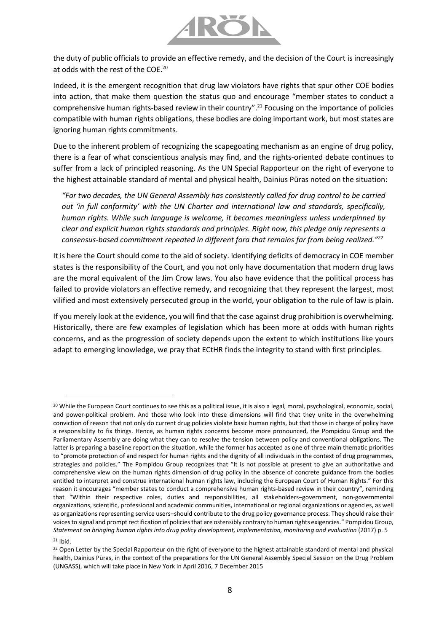

the duty of public officials to provide an effective remedy, and the decision of the Court is increasingly at odds with the rest of the COE.<sup>20</sup>

Indeed, it is the emergent recognition that drug law violators have rights that spur other COE bodies into action, that make them question the status quo and encourage "member states to conduct a comprehensive human rights-based review in their country".<sup>21</sup> Focusing on the importance of policies compatible with human rights obligations, these bodies are doing important work, but most states are ignoring human rights commitments.

Due to the inherent problem of recognizing the scapegoating mechanism as an engine of drug policy, there is a fear of what conscientious analysis may find, and the rights-oriented debate continues to suffer from a lack of principled reasoning. As the UN Special Rapporteur on the right of everyone to the highest attainable standard of mental and physical health, Dainius Pūras noted on the situation:

*"For two decades, the UN General Assembly has consistently called for drug control to be carried out 'in full conformity' with the UN Charter and international law and standards, specifically, human rights. While such language is welcome, it becomes meaningless unless underpinned by clear and explicit human rights standards and principles. Right now, this pledge only represents a consensus-based commitment repeated in different fora that remains far from being realized." 22*

It is here the Court should come to the aid of society. Identifying deficits of democracy in COE member states is the responsibility of the Court, and you not only have documentation that modern drug laws are the moral equivalent of the Jim Crow laws. You also have evidence that the political process has failed to provide violators an effective remedy, and recognizing that they represent the largest, most vilified and most extensively persecuted group in the world, your obligation to the rule of law is plain.

If you merely look at the evidence, you will find that the case against drug prohibition is overwhelming. Historically, there are few examples of legislation which has been more at odds with human rights concerns, and as the progression of society depends upon the extent to which institutions like yours adapt to emerging knowledge, we pray that ECtHR finds the integrity to stand with first principles.

<sup>21</sup> Ibid.

<sup>&</sup>lt;sup>20</sup> While the European Court continues to see this as a political issue, it is also a legal, moral, psychological, economic, social, and power-political problem. And those who look into these dimensions will find that they unite in the overwhelming conviction of reason that not only do current drug policies violate basic human rights, but that those in charge of policy have a responsibility to fix things. Hence, as human rights concerns become more pronounced, the Pompidou Group and the Parliamentary Assembly are doing what they can to resolve the tension between policy and conventional obligations. The latter is preparing a baseline report on the situation, while the former has accepted as one of three main thematic priorities to "promote protection of and respect for human rights and the dignity of all individuals in the context of drug programmes, strategies and policies." The Pompidou Group recognizes that "It is not possible at present to give an authoritative and comprehensive view on the human rights dimension of drug policy in the absence of concrete guidance from the bodies entitled to interpret and construe international human rights law, including the European Court of Human Rights." For this reason it encourages "member states to conduct a comprehensive human rights-based review in their country", reminding that "Within their respective roles, duties and responsibilities, all stakeholders–government, non-governmental organizations, scientific, professional and academic communities, international or regional organizations or agencies, as well as organizations representing service users–should contribute to the drug policy governance process. They should raise their voices to signal and prompt rectification of policies that are ostensibly contrary to human rights exigencies." Pompidou Group, *Statement on bringing human rights into drug policy development, implementation, monitoring and evaluation* (2017) p. 5

<sup>&</sup>lt;sup>22</sup> Open Letter by the Special Rapporteur on the right of everyone to the highest attainable standard of mental and physical health, Dainius Pūras, in the context of the preparations for the UN General Assembly Special Session on the Drug Problem (UNGASS), which will take place in New York in April 2016, 7 December 2015